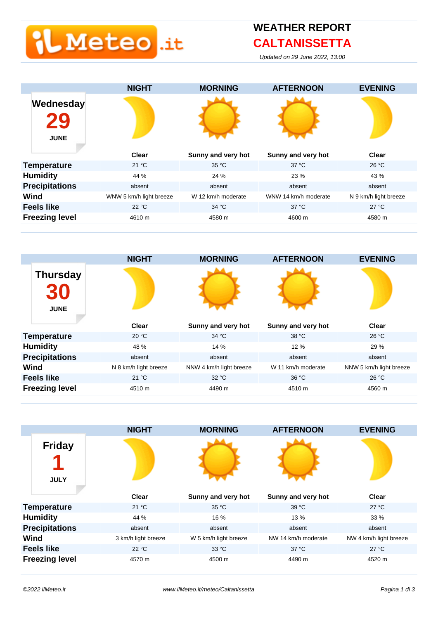# **L** Meteo <mark>.it</mark>

### **CALTANISSETTA**

Updated on 29 June 2022, 13:00





|                                   | <b>NIGHT</b>        | <b>MORNING</b>        | <b>AFTERNOON</b>    | <b>EVENING</b>         |
|-----------------------------------|---------------------|-----------------------|---------------------|------------------------|
| <b>Friday</b><br>И<br><b>JULY</b> |                     |                       |                     |                        |
|                                   | <b>Clear</b>        | Sunny and very hot    | Sunny and very hot  | <b>Clear</b>           |
| <b>Temperature</b>                | 21 °C               | 35 °C                 | 39 °C               | $27^{\circ}$ C         |
| <b>Humidity</b>                   | 44 %                | 16 %                  | 13%                 | 33 %                   |
| <b>Precipitations</b>             | absent              | absent                | absent              | absent                 |
| Wind                              | 3 km/h light breeze | W 5 km/h light breeze | NW 14 km/h moderate | NW 4 km/h light breeze |
| <b>Feels like</b>                 | 22 °C               | 33 °C                 | $37^{\circ}$ C      | $27^{\circ}$ C         |
| <b>Freezing level</b>             | 4570 m              | 4500 m                | 4490 m              | 4520 m                 |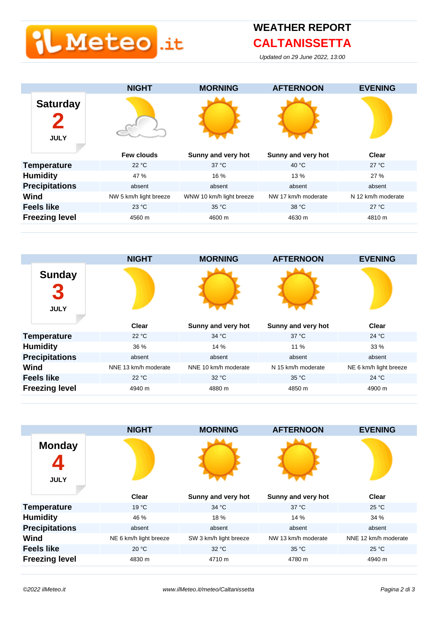# L Meteo <mark>lit</mark>

### **CALTANISSETTA**

Updated on 29 June 2022, 13:00





|                              | <b>NIGHT</b>           | <b>MORNING</b>         | <b>AFTERNOON</b>    | <b>EVENING</b>       |
|------------------------------|------------------------|------------------------|---------------------|----------------------|
| <b>Monday</b><br><b>JULY</b> |                        |                        |                     |                      |
|                              | <b>Clear</b>           | Sunny and very hot     | Sunny and very hot  | Clear                |
| <b>Temperature</b>           | $19^{\circ}$ C         | 34 °C                  | $37^{\circ}$ C      | 25 °C                |
| <b>Humidity</b>              | 46 %                   | 18 %                   | 14 %                | 34 %                 |
| <b>Precipitations</b>        | absent                 | absent                 | absent              | absent               |
| Wind                         | NE 6 km/h light breeze | SW 3 km/h light breeze | NW 13 km/h moderate | NNE 12 km/h moderate |
| <b>Feels like</b>            | 20 °C                  | 32 °C                  | 35 °C               | 25 °C                |
| <b>Freezing level</b>        | 4830 m                 | 4710 m                 | 4780 m              | 4940 m               |